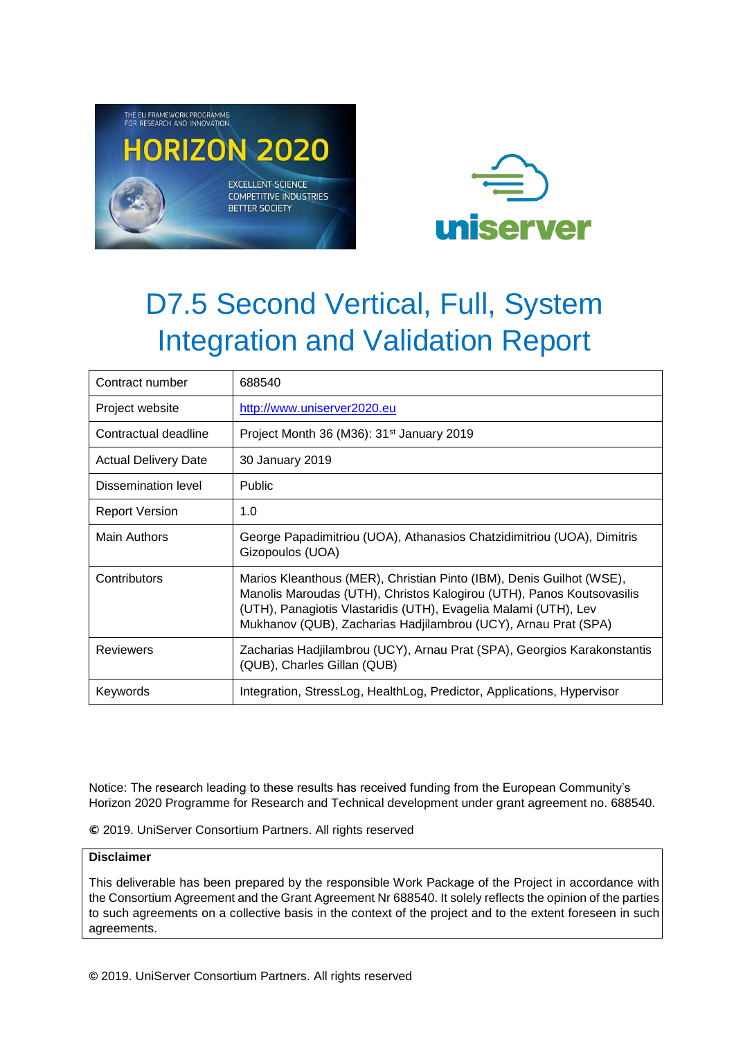



| Contract number             | 688540                                                                                                                                                                                                                                                                             |
|-----------------------------|------------------------------------------------------------------------------------------------------------------------------------------------------------------------------------------------------------------------------------------------------------------------------------|
| Project website             | http://www.uniserver2020.eu                                                                                                                                                                                                                                                        |
| Contractual deadline        | Project Month 36 (M36): 31 <sup>st</sup> January 2019                                                                                                                                                                                                                              |
| <b>Actual Delivery Date</b> | 30 January 2019                                                                                                                                                                                                                                                                    |
| Dissemination level         | Public                                                                                                                                                                                                                                                                             |
| <b>Report Version</b>       | 1.0                                                                                                                                                                                                                                                                                |
| <b>Main Authors</b>         | George Papadimitriou (UOA), Athanasios Chatzidimitriou (UOA), Dimitris<br>Gizopoulos (UOA)                                                                                                                                                                                         |
| Contributors                | Marios Kleanthous (MER), Christian Pinto (IBM), Denis Guilhot (WSE),<br>Manolis Maroudas (UTH), Christos Kalogirou (UTH), Panos Koutsovasilis<br>(UTH), Panagiotis Vlastaridis (UTH), Evagelia Malami (UTH), Lev<br>Mukhanov (QUB), Zacharias Hadjilambrou (UCY), Arnau Prat (SPA) |
| <b>Reviewers</b>            | Zacharias Hadjilambrou (UCY), Arnau Prat (SPA), Georgios Karakonstantis<br>(QUB), Charles Gillan (QUB)                                                                                                                                                                             |
| Keywords                    | Integration, StressLog, HealthLog, Predictor, Applications, Hypervisor                                                                                                                                                                                                             |

Notice: The research leading to these results has received funding from the European Community's Horizon 2020 Programme for Research and Technical development under grant agreement no. 688540.

**©** 2019. UniServer Consortium Partners. All rights reserved

### **Disclaimer**

This deliverable has been prepared by the responsible Work Package of the Project in accordance with the Consortium Agreement and the Grant Agreement Nr 688540. It solely reflects the opinion of the parties to such agreements on a collective basis in the context of the project and to the extent foreseen in such agreements.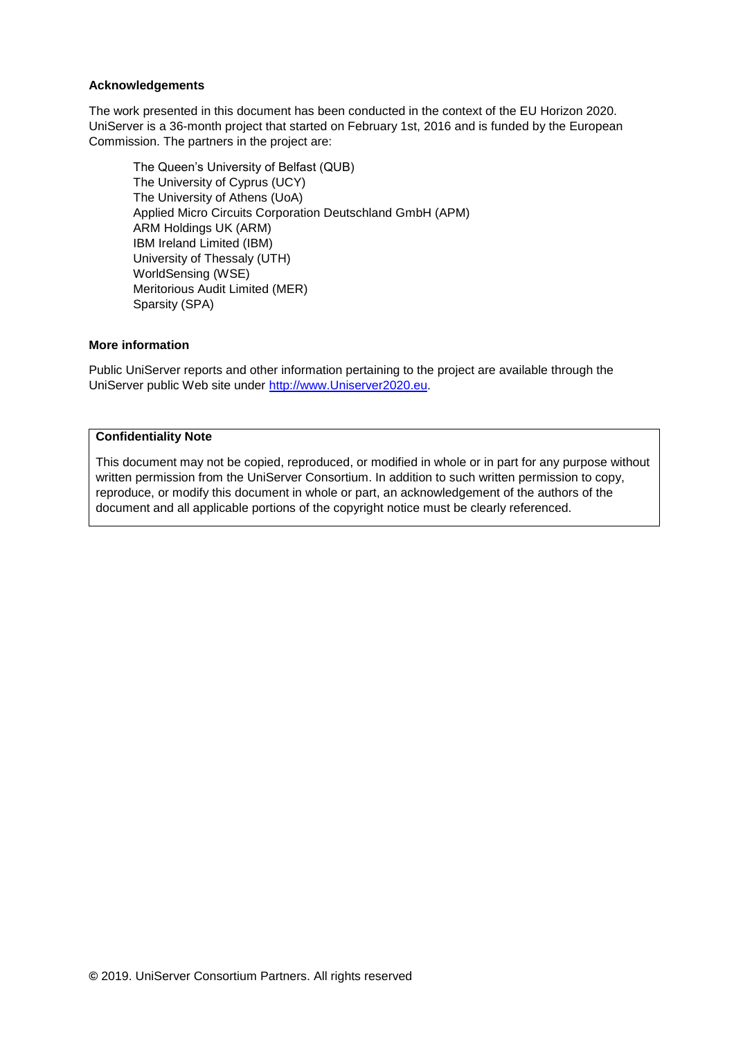#### **Acknowledgements**

The work presented in this document has been conducted in the context of the EU Horizon 2020. UniServer is a 36-month project that started on February 1st, 2016 and is funded by the European Commission. The partners in the project are:

The Queen's University of Belfast (QUB) The University of Cyprus (UCY) The University of Athens (UoA) Applied Micro Circuits Corporation Deutschland GmbH (APM) ARM Holdings UK (ARM) IBM Ireland Limited (IBM) University of Thessaly (UTH) WorldSensing (WSE) Meritorious Audit Limited (MER) Sparsity (SPA)

#### **More information**

Public UniServer reports and other information pertaining to the project are available through the UniServer public Web site under [http://www.Uniserver2020.eu](http://www.uniserver2020.eu/).

#### **Confidentiality Note**

This document may not be copied, reproduced, or modified in whole or in part for any purpose without written permission from the UniServer Consortium. In addition to such written permission to copy, reproduce, or modify this document in whole or part, an acknowledgement of the authors of the document and all applicable portions of the copyright notice must be clearly referenced.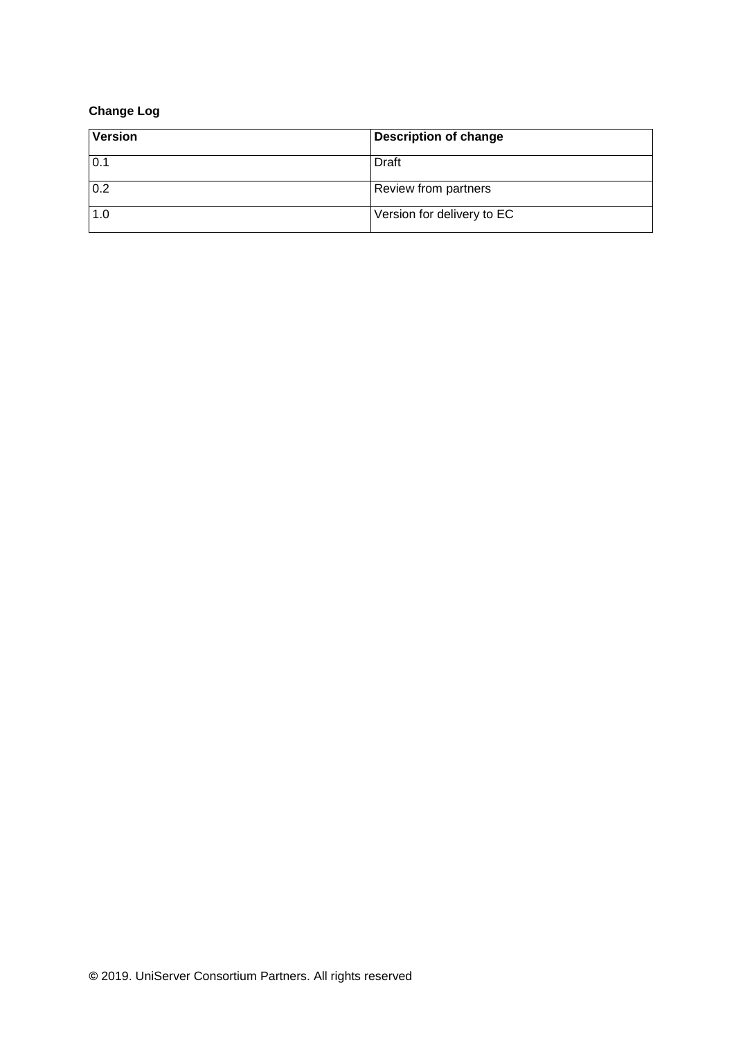### **Change Log**

| <b>Version</b> | <b>Description of change</b> |
|----------------|------------------------------|
| 0.1            | Draft                        |
| 0.2            | <b>Review from partners</b>  |
| 1.0            | Version for delivery to EC   |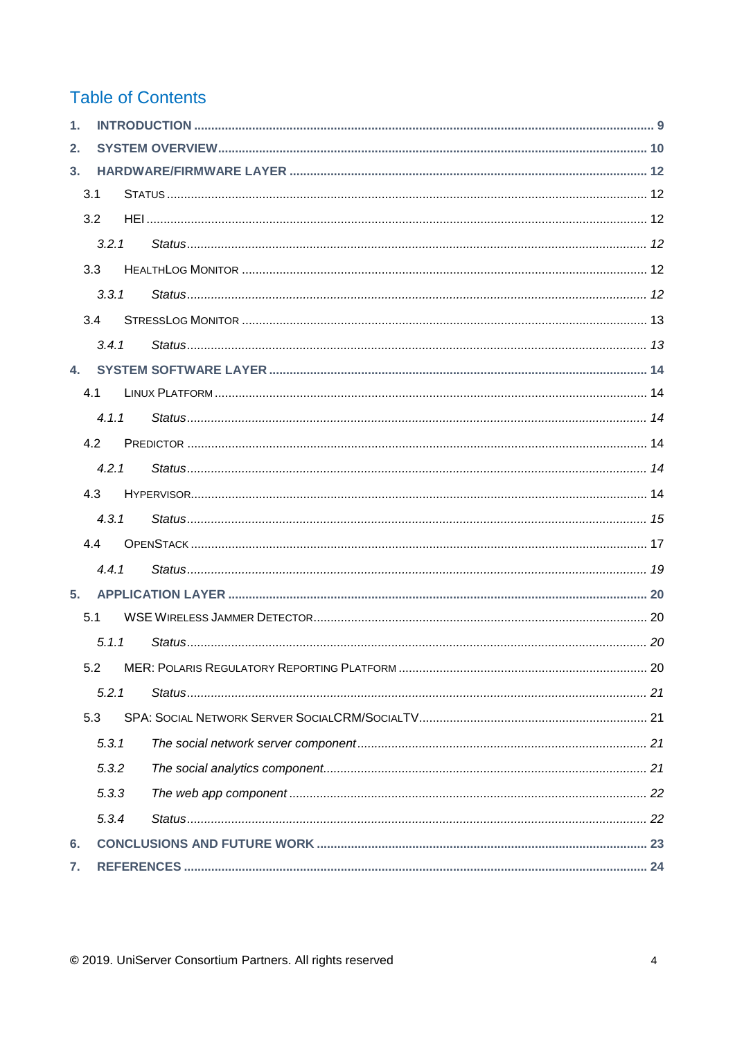## **Table of Contents**

| 3.1<br>3.2<br>3.3<br>3.4<br>$\mathbf{A}$<br>4.1<br>4.2<br>4.3<br>44<br>5.<br>5.1<br>5.2<br>5.3 | 3.2.1<br>3, 3, 1<br>3.4.1<br>4.1.1<br>4.2.1<br>4.3.1<br>4.4.1<br>5.1.1<br>5.2.1<br>5.3.1<br>5.3.2<br>5.3.3<br>5.3.4 |  |
|------------------------------------------------------------------------------------------------|---------------------------------------------------------------------------------------------------------------------|--|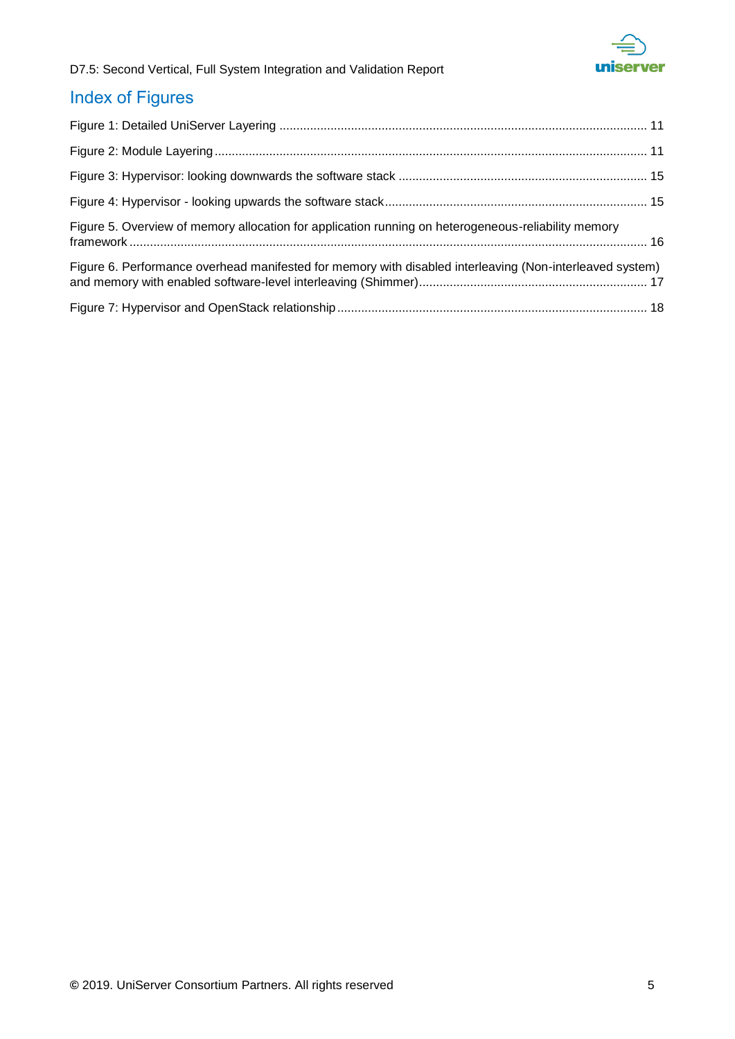

## Index of Figures

| Figure 5. Overview of memory allocation for application running on heterogeneous-reliability memory      |  |
|----------------------------------------------------------------------------------------------------------|--|
| Figure 6. Performance overhead manifested for memory with disabled interleaving (Non-interleaved system) |  |
|                                                                                                          |  |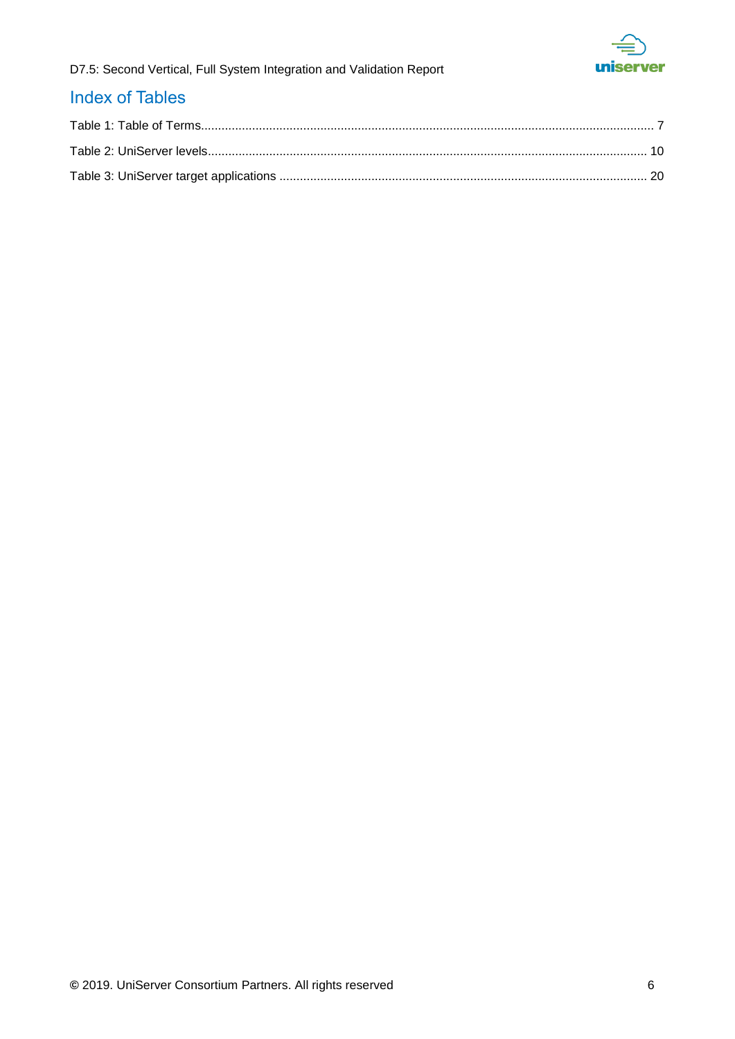

### Index of Tables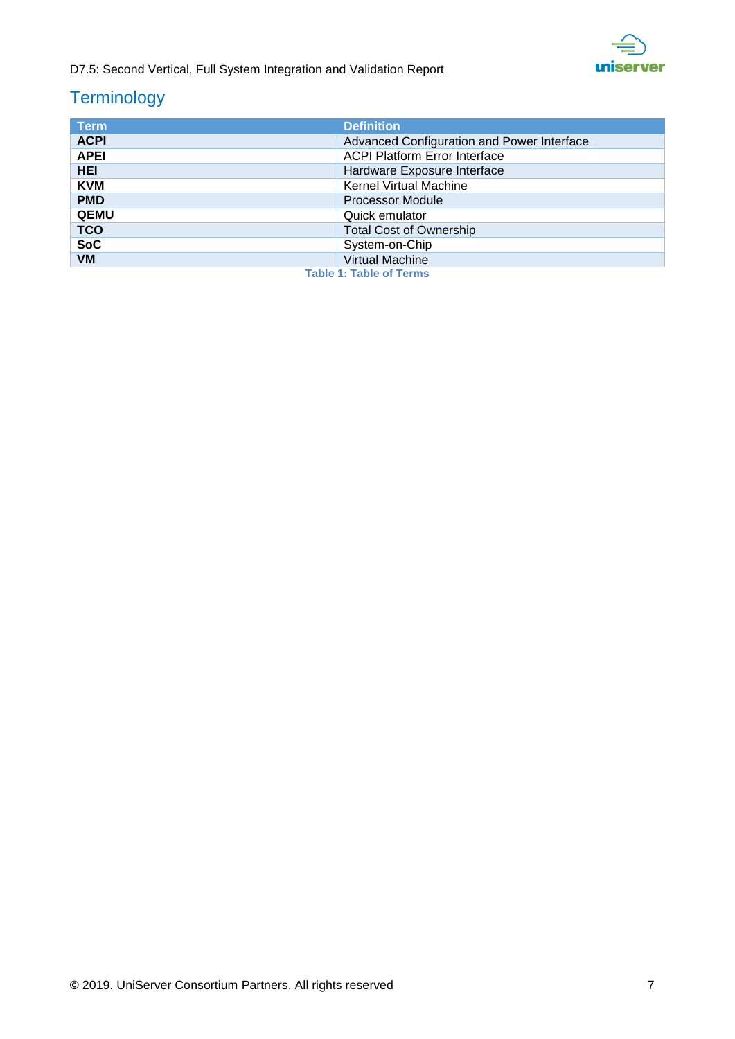

## **Terminology**

<span id="page-6-0"></span>

| <b>Term</b>                    | <b>Definition</b>                          |
|--------------------------------|--------------------------------------------|
| <b>ACPI</b>                    | Advanced Configuration and Power Interface |
| <b>APEI</b>                    | <b>ACPI Platform Error Interface</b>       |
| <b>HEI</b>                     | Hardware Exposure Interface                |
| <b>KVM</b>                     | <b>Kernel Virtual Machine</b>              |
| <b>PMD</b>                     | <b>Processor Module</b>                    |
| <b>QEMU</b>                    | Quick emulator                             |
| <b>TCO</b>                     | <b>Total Cost of Ownership</b>             |
| <b>SoC</b>                     | System-on-Chip                             |
| <b>VM</b>                      | Virtual Machine                            |
| <b>Table 1: Table of Terms</b> |                                            |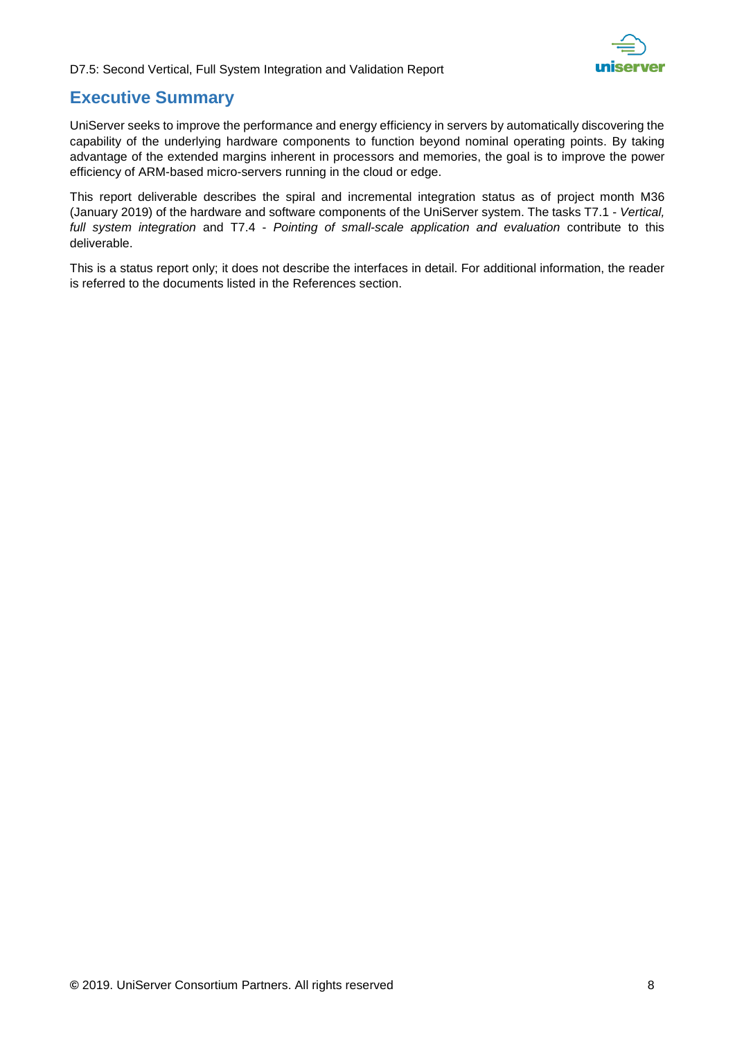

### **Executive Summary**

UniServer seeks to improve the performance and energy efficiency in servers by automatically discovering the capability of the underlying hardware components to function beyond nominal operating points. By taking advantage of the extended margins inherent in processors and memories, the goal is to improve the power efficiency of ARM-based micro-servers running in the cloud or edge.

This report deliverable describes the spiral and incremental integration status as of project month M36 (January 2019) of the hardware and software components of the UniServer system. The tasks T7.1 - *Vertical, full system integration* and T7.4 - *Pointing of small-scale application and evaluation* contribute to this deliverable.

This is a status report only; it does not describe the interfaces in detail. For additional information, the reader is referred to the documents listed in the References section.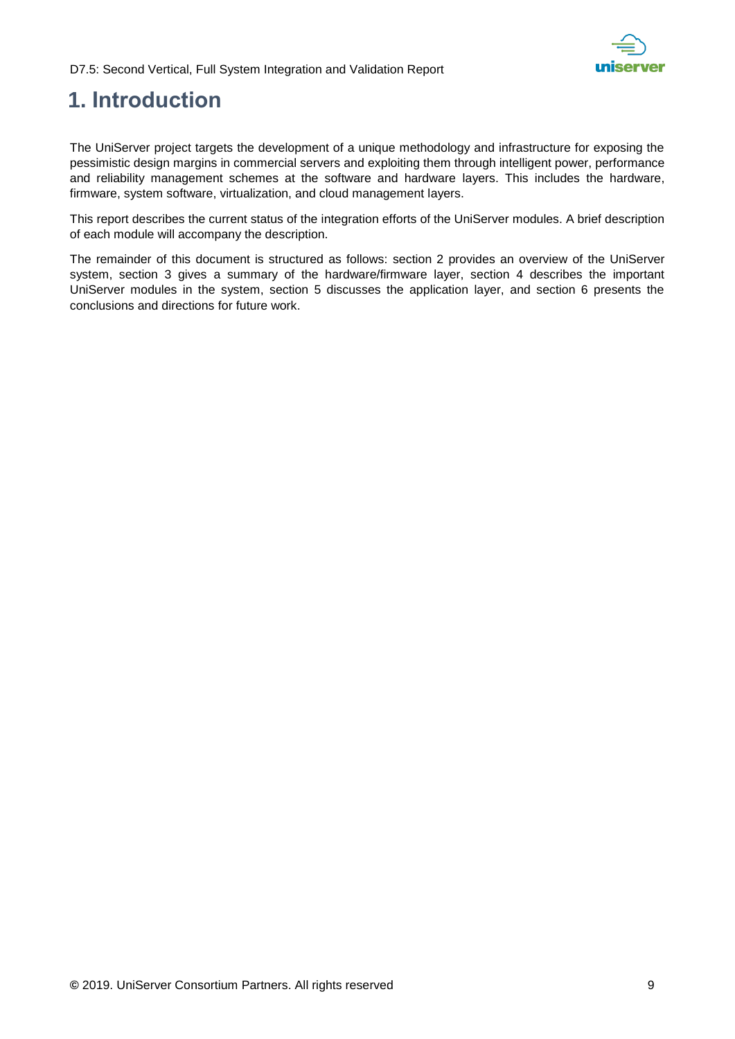

## <span id="page-8-0"></span>**1. Introduction**

The UniServer project targets the development of a unique methodology and infrastructure for exposing the pessimistic design margins in commercial servers and exploiting them through intelligent power, performance and reliability management schemes at the software and hardware layers. This includes the hardware, firmware, system software, virtualization, and cloud management layers.

This report describes the current status of the integration efforts of the UniServer modules. A brief description of each module will accompany the description.

The remainder of this document is structured as follows: section 2 provides an overview of the UniServer system, section 3 gives a summary of the hardware/firmware layer, section 4 describes the important UniServer modules in the system, section 5 discusses the application layer, and section 6 presents the conclusions and directions for future work.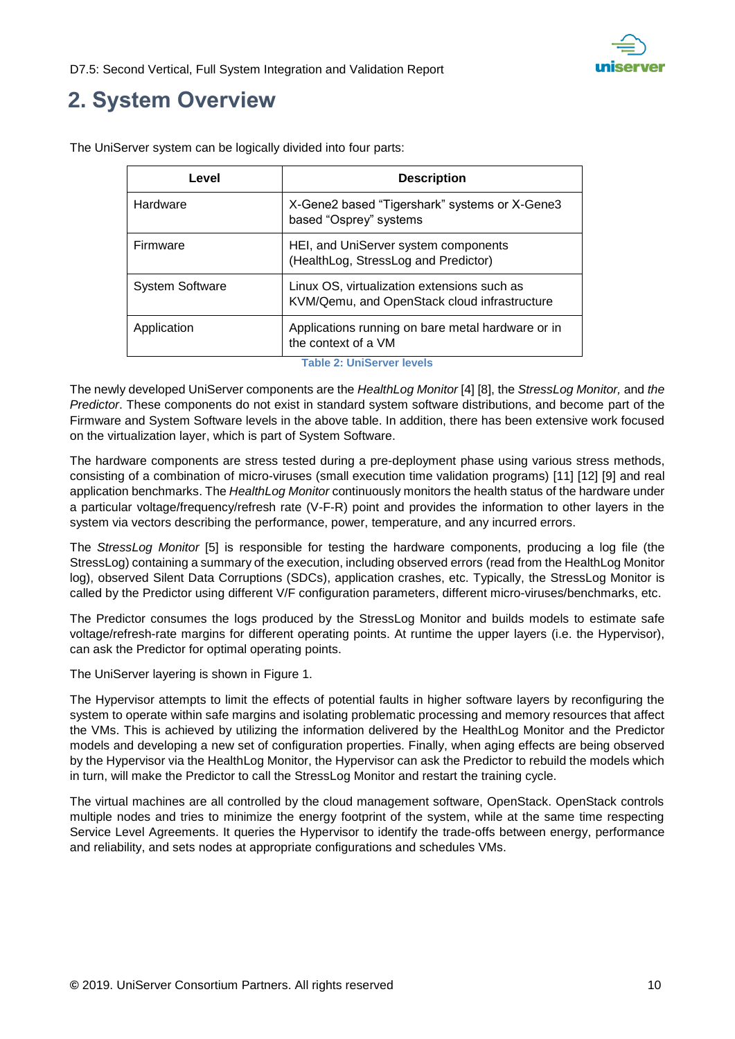

## <span id="page-9-0"></span>**2. System Overview**

| Level                            | <b>Description</b>                                                                          |
|----------------------------------|---------------------------------------------------------------------------------------------|
| Hardware                         | X-Gene2 based "Tigershark" systems or X-Gene3<br>based "Osprey" systems                     |
| Firmware                         | HEI, and UniServer system components<br>(HealthLog, StressLog and Predictor)                |
| <b>System Software</b>           | Linux OS, virtualization extensions such as<br>KVM/Qemu, and OpenStack cloud infrastructure |
| Application                      | Applications running on bare metal hardware or in<br>the context of a VM                    |
| <b>Table 2: UniServer levels</b> |                                                                                             |

The UniServer system can be logically divided into four parts:

<span id="page-9-1"></span>The newly developed UniServer components are the *HealthLog Monitor* [\[4\]](#page-23-1) [\[8\],](#page-23-2) the *StressLog Monitor,* and *the Predictor*. These components do not exist in standard system software distributions, and become part of the Firmware and System Software levels in the above table. In addition, there has been extensive work focused on the virtualization layer, which is part of System Software.

The hardware components are stress tested during a pre-deployment phase using various stress methods, consisting of a combination of micro-viruses (small execution time validation programs) [\[11\]](#page-23-3) [\[12\]](#page-23-4) [\[9\]](#page-23-5) and real application benchmarks. The *HealthLog Monitor* continuously monitors the health status of the hardware under a particular voltage/frequency/refresh rate (V-F-R) point and provides the information to other layers in the system via vectors describing the performance, power, temperature, and any incurred errors.

The *StressLog Monitor* [\[5\]](#page-23-6) is responsible for testing the hardware components, producing a log file (the StressLog) containing a summary of the execution, including observed errors (read from the HealthLog Monitor log), observed Silent Data Corruptions (SDCs), application crashes, etc. Typically, the StressLog Monitor is called by the Predictor using different V/F configuration parameters, different micro-viruses/benchmarks, etc.

The Predictor consumes the logs produced by the StressLog Monitor and builds models to estimate safe voltage/refresh-rate margins for different operating points. At runtime the upper layers (i.e. the Hypervisor), can ask the Predictor for optimal operating points.

The UniServer layering is shown in [Figure 1.](#page-10-0)

The Hypervisor attempts to limit the effects of potential faults in higher software layers by reconfiguring the system to operate within safe margins and isolating problematic processing and memory resources that affect the VMs. This is achieved by utilizing the information delivered by the HealthLog Monitor and the Predictor models and developing a new set of configuration properties. Finally, when aging effects are being observed by the Hypervisor via the HealthLog Monitor, the Hypervisor can ask the Predictor to rebuild the models which in turn, will make the Predictor to call the StressLog Monitor and restart the training cycle.

The virtual machines are all controlled by the cloud management software, OpenStack. OpenStack controls multiple nodes and tries to minimize the energy footprint of the system, while at the same time respecting Service Level Agreements. It queries the Hypervisor to identify the trade-offs between energy, performance and reliability, and sets nodes at appropriate configurations and schedules VMs.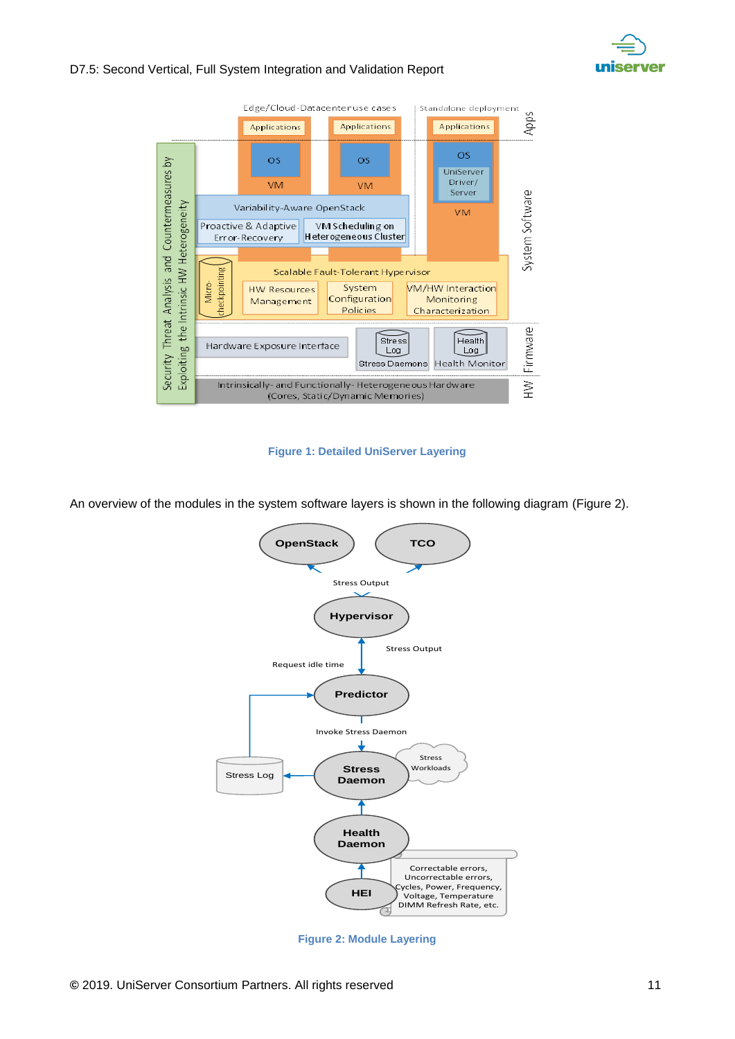



#### **Figure 1: Detailed UniServer Layering**

<span id="page-10-0"></span>An overview of the modules in the system software layers is shown in the following diagram [\(Figure 2\)](#page-10-1).



<span id="page-10-1"></span>**Figure 2: Module Layering**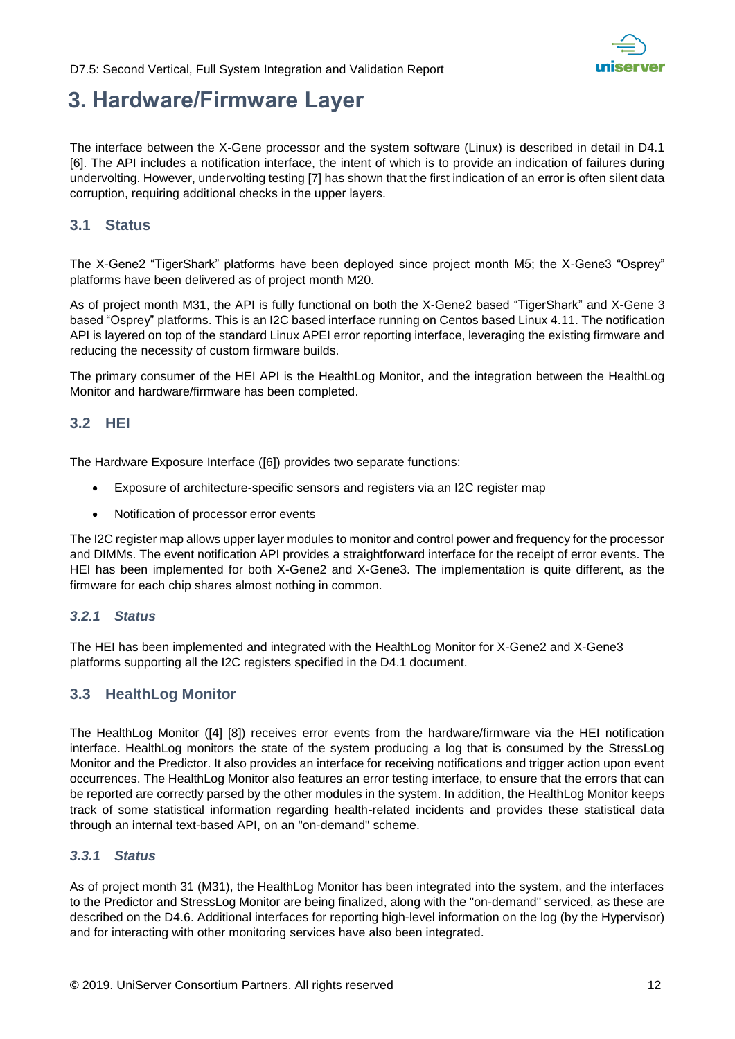

## <span id="page-11-0"></span>**3. Hardware/Firmware Layer**

The interface between the X-Gene processor and the system software (Linux) is described in detail in D4.1 [\[6\].](#page-23-7) The API includes a notification interface, the intent of which is to provide an indication of failures during undervolting. However, undervolting testing [\[7\]](#page-23-8) has shown that the first indication of an error is often silent data corruption, requiring additional checks in the upper layers.

### <span id="page-11-1"></span>**3.1 Status**

The X-Gene2 "TigerShark" platforms have been deployed since project month M5; the X-Gene3 "Osprey" platforms have been delivered as of project month M20.

As of project month M31, the API is fully functional on both the X-Gene2 based "TigerShark" and X-Gene 3 based "Osprey" platforms. This is an I2C based interface running on Centos based Linux 4.11. The notification API is layered on top of the standard Linux APEI error reporting interface, leveraging the existing firmware and reducing the necessity of custom firmware builds.

The primary consumer of the HEI API is the HealthLog Monitor, and the integration between the HealthLog Monitor and hardware/firmware has been completed.

### <span id="page-11-2"></span>**3.2 HEI**

The Hardware Exposure Interface [\(\[6\]\)](#page-23-7) provides two separate functions:

- Exposure of architecture-specific sensors and registers via an I2C register map
- Notification of processor error events

The I2C register map allows upper layer modules to monitor and control power and frequency for the processor and DIMMs. The event notification API provides a straightforward interface for the receipt of error events. The HEI has been implemented for both X-Gene2 and X-Gene3. The implementation is quite different, as the firmware for each chip shares almost nothing in common.

#### <span id="page-11-3"></span>*3.2.1 Status*

The HEI has been implemented and integrated with the HealthLog Monitor for X-Gene2 and X-Gene3 platforms supporting all the I2C registers specified in the D4.1 document.

### <span id="page-11-4"></span>**3.3 HealthLog Monitor**

The HealthLog Monitor [\(\[4\]](#page-23-1) [\[8\]\)](#page-23-2) receives error events from the hardware/firmware via the HEI notification interface. HealthLog monitors the state of the system producing a log that is consumed by the StressLog Monitor and the Predictor. It also provides an interface for receiving notifications and trigger action upon event occurrences. The HealthLog Monitor also features an error testing interface, to ensure that the errors that can be reported are correctly parsed by the other modules in the system. In addition, the HealthLog Monitor keeps track of some statistical information regarding health-related incidents and provides these statistical data through an internal text-based API, on an "on-demand" scheme.

### <span id="page-11-5"></span>*3.3.1 Status*

As of project month 31 (M31), the HealthLog Monitor has been integrated into the system, and the interfaces to the Predictor and StressLog Monitor are being finalized, along with the "on-demand" serviced, as these are described on the D4.6. Additional interfaces for reporting high-level information on the log (by the Hypervisor) and for interacting with other monitoring services have also been integrated.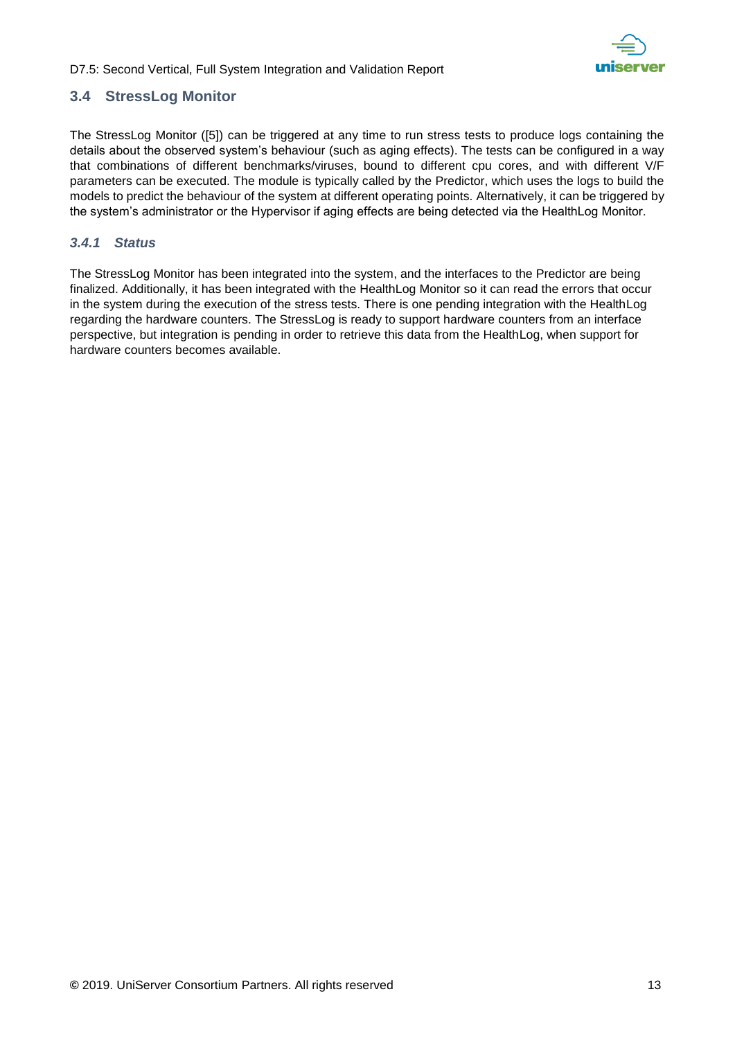

### <span id="page-12-0"></span>**3.4 StressLog Monitor**

The StressLog Monitor [\(\[5\]\)](#page-23-6) can be triggered at any time to run stress tests to produce logs containing the details about the observed system's behaviour (such as aging effects). The tests can be configured in a way that combinations of different benchmarks/viruses, bound to different cpu cores, and with different V/F parameters can be executed. The module is typically called by the Predictor, which uses the logs to build the models to predict the behaviour of the system at different operating points. Alternatively, it can be triggered by the system's administrator or the Hypervisor if aging effects are being detected via the HealthLog Monitor.

### <span id="page-12-1"></span>*3.4.1 Status*

The StressLog Monitor has been integrated into the system, and the interfaces to the Predictor are being finalized. Additionally, it has been integrated with the HealthLog Monitor so it can read the errors that occur in the system during the execution of the stress tests. There is one pending integration with the HealthLog regarding the hardware counters. The StressLog is ready to support hardware counters from an interface perspective, but integration is pending in order to retrieve this data from the HealthLog, when support for hardware counters becomes available.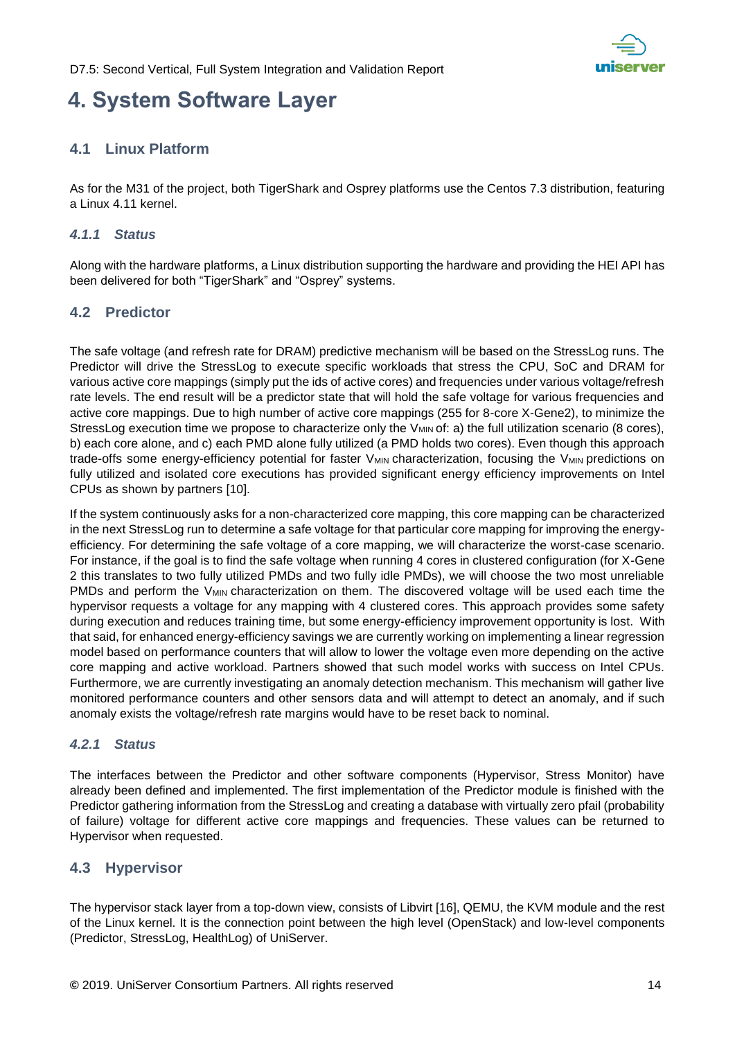

## <span id="page-13-0"></span>**4. System Software Layer**

### <span id="page-13-1"></span>**4.1 Linux Platform**

As for the M31 of the project, both TigerShark and Osprey platforms use the Centos 7.3 distribution, featuring a Linux 4.11 kernel.

### <span id="page-13-2"></span>*4.1.1 Status*

Along with the hardware platforms, a Linux distribution supporting the hardware and providing the HEI API has been delivered for both "TigerShark" and "Osprey" systems.

### <span id="page-13-3"></span>**4.2 Predictor**

The safe voltage (and refresh rate for DRAM) predictive mechanism will be based on the StressLog runs. The Predictor will drive the StressLog to execute specific workloads that stress the CPU, SoC and DRAM for various active core mappings (simply put the ids of active cores) and frequencies under various voltage/refresh rate levels. The end result will be a predictor state that will hold the safe voltage for various frequencies and active core mappings. Due to high number of active core mappings (255 for 8-core X-Gene2), to minimize the StressLog execution time we propose to characterize only the V<sub>MIN</sub> of: a) the full utilization scenario (8 cores), b) each core alone, and c) each PMD alone fully utilized (a PMD holds two cores). Even though this approach trade-offs some energy-efficiency potential for faster V<sub>MIN</sub> characterization, focusing the V<sub>MIN</sub> predictions on fully utilized and isolated core executions has provided significant energy efficiency improvements on Intel CPUs as shown by partners [\[10\].](#page-23-9)

If the system continuously asks for a non-characterized core mapping, this core mapping can be characterized in the next StressLog run to determine a safe voltage for that particular core mapping for improving the energyefficiency. For determining the safe voltage of a core mapping, we will characterize the worst-case scenario. For instance, if the goal is to find the safe voltage when running 4 cores in clustered configuration (for X-Gene 2 this translates to two fully utilized PMDs and two fully idle PMDs), we will choose the two most unreliable PMDs and perform the V<sub>MIN</sub> characterization on them. The discovered voltage will be used each time the hypervisor requests a voltage for any mapping with 4 clustered cores. This approach provides some safety during execution and reduces training time, but some energy-efficiency improvement opportunity is lost. With that said, for enhanced energy-efficiency savings we are currently working on implementing a linear regression model based on performance counters that will allow to lower the voltage even more depending on the active core mapping and active workload. Partners showed that such model works with success on Intel CPUs. Furthermore, we are currently investigating an anomaly detection mechanism. This mechanism will gather live monitored performance counters and other sensors data and will attempt to detect an anomaly, and if such anomaly exists the voltage/refresh rate margins would have to be reset back to nominal.

### <span id="page-13-4"></span>*4.2.1 Status*

The interfaces between the Predictor and other software components (Hypervisor, Stress Monitor) have already been defined and implemented. The first implementation of the Predictor module is finished with the Predictor gathering information from the StressLog and creating a database with virtually zero pfail (probability of failure) voltage for different active core mappings and frequencies. These values can be returned to Hypervisor when requested.

### <span id="page-13-5"></span>**4.3 Hypervisor**

The hypervisor stack layer from a top-down view, consists of Libvirt [\[16\],](#page-23-10) QEMU, the KVM module and the rest of the Linux kernel. It is the connection point between the high level (OpenStack) and low-level components (Predictor, StressLog, HealthLog) of UniServer.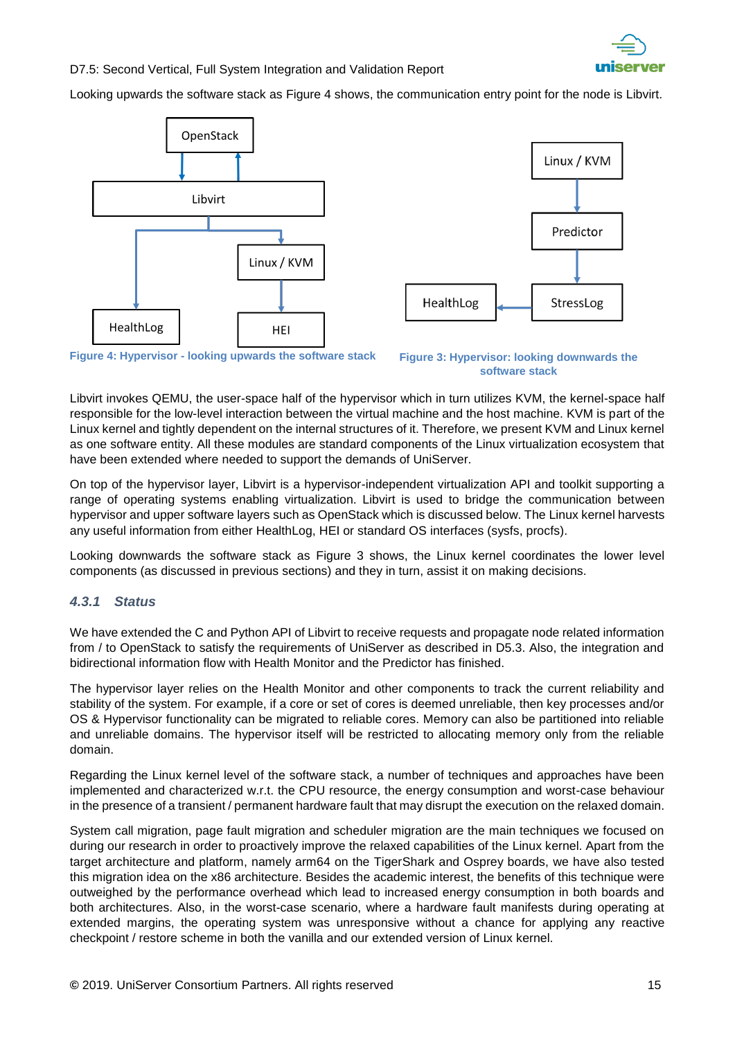

Looking upwards the software stack as [Figure 4](#page-14-1) shows, the communication entry point for the node is Libvirt.





<span id="page-14-1"></span>**Figure 4: Hypervisor - looking upwards the software stack**

<span id="page-14-2"></span>**Figure 3: Hypervisor: looking downwards the software stack**

Libvirt invokes QEMU, the user-space half of the hypervisor which in turn utilizes KVM, the kernel-space half responsible for the low-level interaction between the virtual machine and the host machine. KVM is part of the Linux kernel and tightly dependent on the internal structures of it. Therefore, we present KVM and Linux kernel as one software entity. All these modules are standard components of the Linux virtualization ecosystem that have been extended where needed to support the demands of UniServer.

On top of the hypervisor layer, Libvirt is a hypervisor-independent virtualization API and toolkit supporting a range of operating systems enabling virtualization. Libvirt is used to bridge the communication between hypervisor and upper software layers such as OpenStack which is discussed below. The Linux kernel harvests any useful information from either HealthLog, HEI or standard OS interfaces (sysfs, procfs).

Looking downwards the software stack as [Figure 3](#page-14-2) shows, the Linux kernel coordinates the lower level components (as discussed in previous sections) and they in turn, assist it on making decisions.

#### <span id="page-14-0"></span>*4.3.1 Status*

We have extended the C and Python API of Libvirt to receive requests and propagate node related information from / to OpenStack to satisfy the requirements of UniServer as described in D5.3. Also, the integration and bidirectional information flow with Health Monitor and the Predictor has finished.

The hypervisor layer relies on the Health Monitor and other components to track the current reliability and stability of the system. For example, if a core or set of cores is deemed unreliable, then key processes and/or OS & Hypervisor functionality can be migrated to reliable cores. Memory can also be partitioned into reliable and unreliable domains. The hypervisor itself will be restricted to allocating memory only from the reliable domain.

Regarding the Linux kernel level of the software stack, a number of techniques and approaches have been implemented and characterized w.r.t. the CPU resource, the energy consumption and worst-case behaviour in the presence of a transient / permanent hardware fault that may disrupt the execution on the relaxed domain.

System call migration, page fault migration and scheduler migration are the main techniques we focused on during our research in order to proactively improve the relaxed capabilities of the Linux kernel. Apart from the target architecture and platform, namely arm64 on the TigerShark and Osprey boards, we have also tested this migration idea on the x86 architecture. Besides the academic interest, the benefits of this technique were outweighed by the performance overhead which lead to increased energy consumption in both boards and both architectures. Also, in the worst-case scenario, where a hardware fault manifests during operating at extended margins, the operating system was unresponsive without a chance for applying any reactive checkpoint / restore scheme in both the vanilla and our extended version of Linux kernel.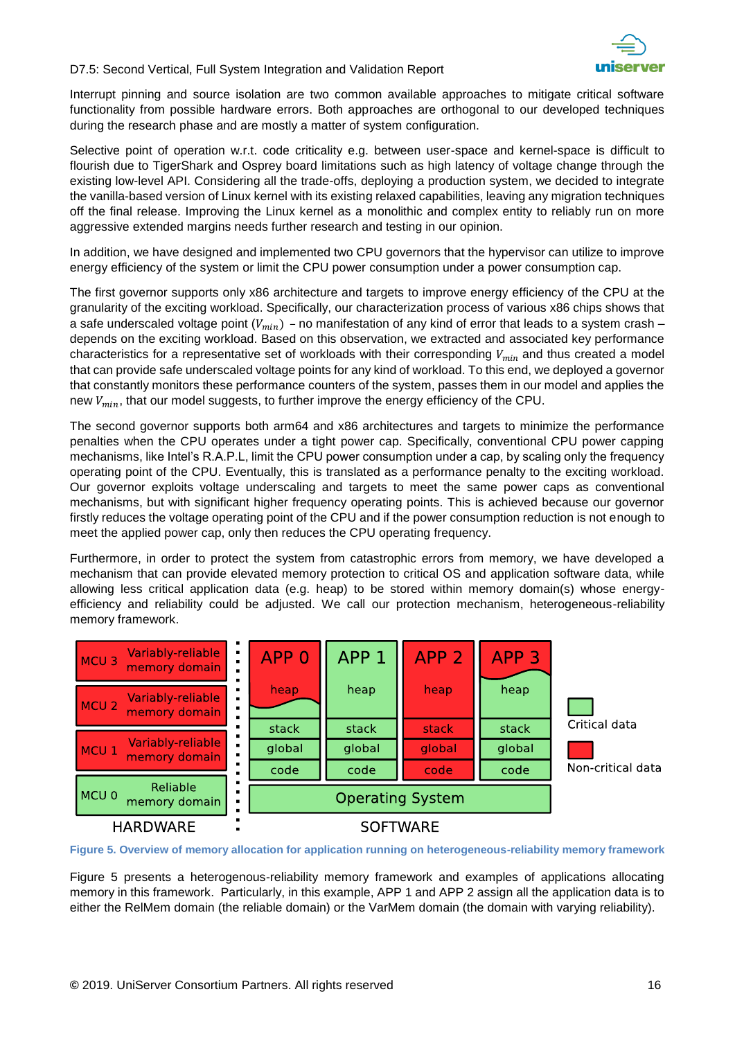

Interrupt pinning and source isolation are two common available approaches to mitigate critical software functionality from possible hardware errors. Both approaches are orthogonal to our developed techniques during the research phase and are mostly a matter of system configuration.

Selective point of operation w.r.t. code criticality e.g. between user-space and kernel-space is difficult to flourish due to TigerShark and Osprey board limitations such as high latency of voltage change through the existing low-level API. Considering all the trade-offs, deploying a production system, we decided to integrate the vanilla-based version of Linux kernel with its existing relaxed capabilities, leaving any migration techniques off the final release. Improving the Linux kernel as a monolithic and complex entity to reliably run on more aggressive extended margins needs further research and testing in our opinion.

In addition, we have designed and implemented two CPU governors that the hypervisor can utilize to improve energy efficiency of the system or limit the CPU power consumption under a power consumption cap.

The first governor supports only x86 architecture and targets to improve energy efficiency of the CPU at the granularity of the exciting workload. Specifically, our characterization process of various x86 chips shows that a safe underscaled voltage point ( $V_{min}$ ) – no manifestation of any kind of error that leads to a system crash – depends on the exciting workload. Based on this observation, we extracted and associated key performance characteristics for a representative set of workloads with their corresponding  $V_{min}$  and thus created a model that can provide safe underscaled voltage points for any kind of workload. To this end, we deployed a governor that constantly monitors these performance counters of the system, passes them in our model and applies the new  $V_{min}$ , that our model suggests, to further improve the energy efficiency of the CPU.

The second governor supports both arm64 and x86 architectures and targets to minimize the performance penalties when the CPU operates under a tight power cap. Specifically, conventional CPU power capping mechanisms, like Intel's R.A.P.L, limit the CPU power consumption under a cap, by scaling only the frequency operating point of the CPU. Eventually, this is translated as a performance penalty to the exciting workload. Our governor exploits voltage underscaling and targets to meet the same power caps as conventional mechanisms, but with significant higher frequency operating points. This is achieved because our governor firstly reduces the voltage operating point of the CPU and if the power consumption reduction is not enough to meet the applied power cap, only then reduces the CPU operating frequency.

Furthermore, in order to protect the system from catastrophic errors from memory, we have developed a mechanism that can provide elevated memory protection to critical OS and application software data, while allowing less critical application data (e.g. heap) to be stored within memory domain(s) whose energyefficiency and reliability could be adjusted. We call our protection mechanism, heterogeneous-reliability memory framework.



<span id="page-15-0"></span>**Figure 5. Overview of memory allocation for application running on heterogeneous-reliability memory framework**

Figure 5 presents a heterogenous-reliability memory framework and examples of applications allocating memory in this framework. Particularly, in this example, APP 1 and APP 2 assign all the application data is to either the RelMem domain (the reliable domain) or the VarMem domain (the domain with varying reliability).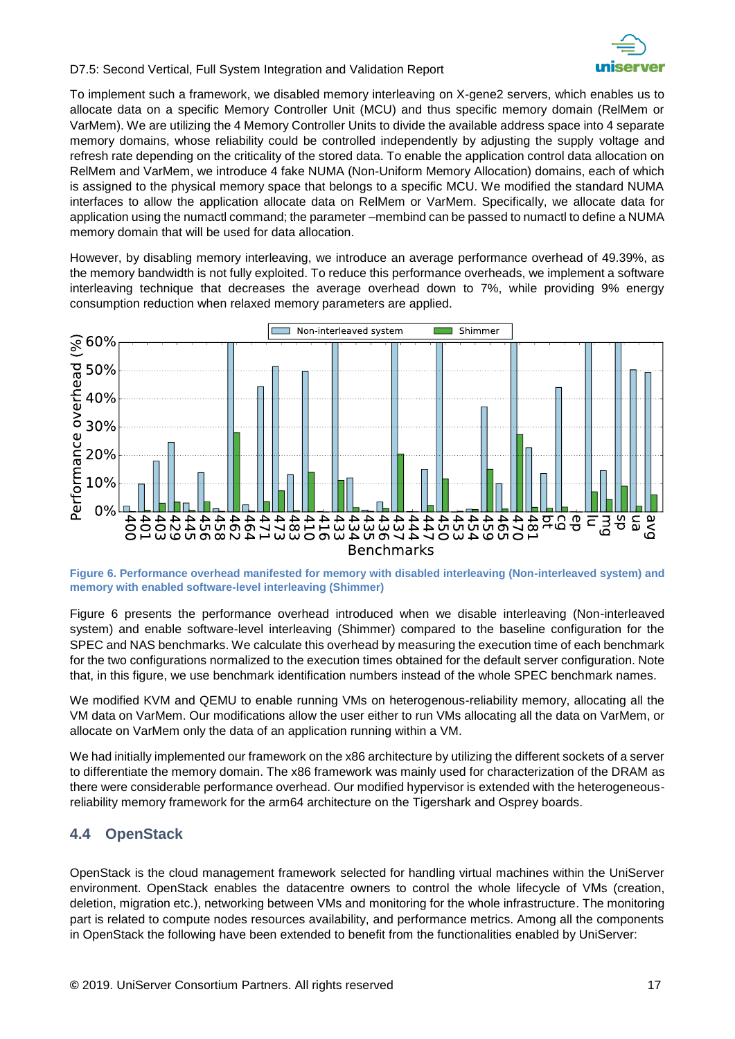

To implement such a framework, we disabled memory interleaving on X-gene2 servers, which enables us to allocate data on a specific Memory Controller Unit (MCU) and thus specific memory domain (RelMem or VarMem). We are utilizing the 4 Memory Controller Units to divide the available address space into 4 separate memory domains, whose reliability could be controlled independently by adjusting the supply voltage and refresh rate depending on the criticality of the stored data. To enable the application control data allocation on RelMem and VarMem, we introduce 4 fake NUMA (Non-Uniform Memory Allocation) domains, each of which is assigned to the physical memory space that belongs to a specific MCU. We modified the standard NUMA interfaces to allow the application allocate data on RelMem or VarMem. Specifically, we allocate data for application using the numactl command; the parameter –membind can be passed to numactl to define a NUMA memory domain that will be used for data allocation.

However, by disabling memory interleaving, we introduce an average performance overhead of 49.39%, as the memory bandwidth is not fully exploited. To reduce this performance overheads, we implement a software interleaving technique that decreases the average overhead down to 7%, while providing 9% energy consumption reduction when relaxed memory parameters are applied.



<span id="page-16-1"></span>**Figure 6. Performance overhead manifested for memory with disabled interleaving (Non-interleaved system) and memory with enabled software-level interleaving (Shimmer)**

Figure 6 presents the performance overhead introduced when we disable interleaving (Non-interleaved system) and enable software-level interleaving (Shimmer) compared to the baseline configuration for the SPEC and NAS benchmarks. We calculate this overhead by measuring the execution time of each benchmark for the two configurations normalized to the execution times obtained for the default server configuration. Note that, in this figure, we use benchmark identification numbers instead of the whole SPEC benchmark names.

We modified KVM and QEMU to enable running VMs on heterogenous-reliability memory, allocating all the VM data on VarMem. Our modifications allow the user either to run VMs allocating all the data on VarMem, or allocate on VarMem only the data of an application running within a VM.

We had initially implemented our framework on the x86 architecture by utilizing the different sockets of a server to differentiate the memory domain. The x86 framework was mainly used for characterization of the DRAM as there were considerable performance overhead. Our modified hypervisor is extended with the heterogeneousreliability memory framework for the arm64 architecture on the Tigershark and Osprey boards.

### <span id="page-16-0"></span>**4.4 OpenStack**

OpenStack is the cloud management framework selected for handling virtual machines within the UniServer environment. OpenStack enables the datacentre owners to control the whole lifecycle of VΜs (creation, deletion, migration etc.), networking between VMs and monitoring for the whole infrastructure. The monitoring part is related to compute nodes resources availability, and performance metrics. Among all the components in OpenStack the following have been extended to benefit from the functionalities enabled by UniServer: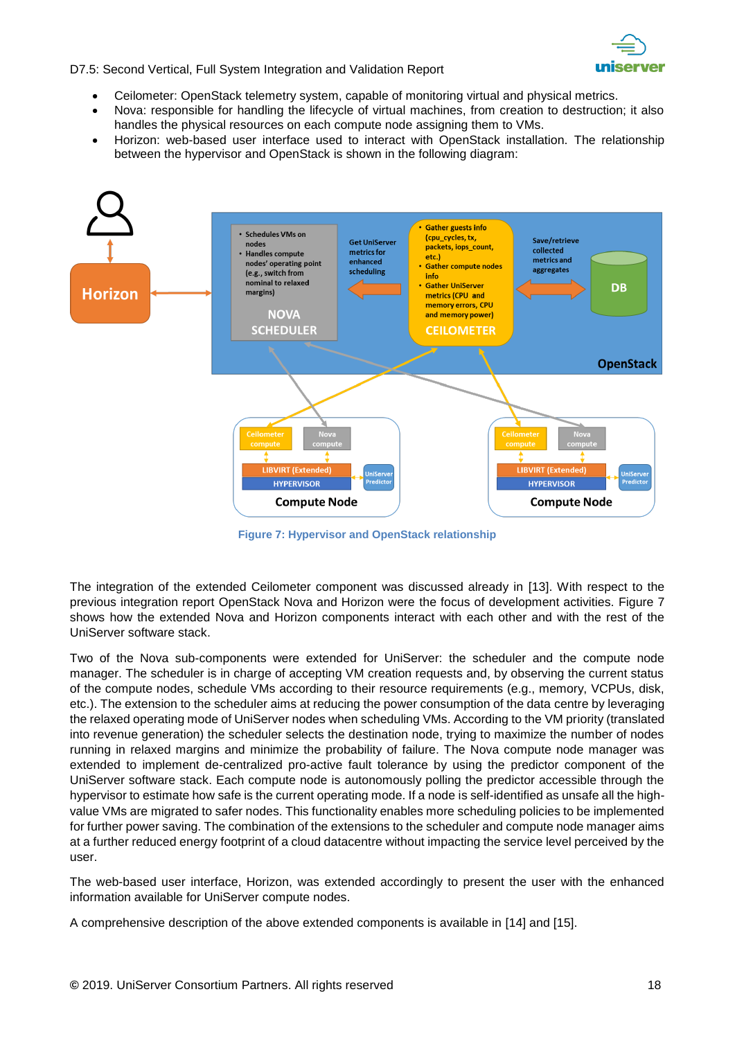

- Ceilometer: OpenStack telemetry system, capable of monitoring virtual and physical metrics.
- Nova: responsible for handling the lifecycle of virtual machines, from creation to destruction; it also handles the physical resources on each compute node assigning them to VMs.
- Horizon: web-based user interface used to interact with OpenStack installation. The relationship between the hypervisor and OpenStack is shown in the following diagram:



**Figure 7: Hypervisor and OpenStack relationship**

<span id="page-17-0"></span>The integration of the extended Ceilometer component was discussed already in [\[13\].](#page-23-11) With respect to the previous integration report OpenStack Nova and Horizon were the focus of development activities. [Figure 7](#page-17-0) shows how the extended Nova and Horizon components interact with each other and with the rest of the UniServer software stack.

Two of the Nova sub-components were extended for UniServer: the scheduler and the compute node manager. The scheduler is in charge of accepting VM creation requests and, by observing the current status of the compute nodes, schedule VMs according to their resource requirements (e.g., memory, VCPUs, disk, etc.). The extension to the scheduler aims at reducing the power consumption of the data centre by leveraging the relaxed operating mode of UniServer nodes when scheduling VMs. According to the VM priority (translated into revenue generation) the scheduler selects the destination node, trying to maximize the number of nodes running in relaxed margins and minimize the probability of failure. The Nova compute node manager was extended to implement de-centralized pro-active fault tolerance by using the predictor component of the UniServer software stack. Each compute node is autonomously polling the predictor accessible through the hypervisor to estimate how safe is the current operating mode. If a node is self-identified as unsafe all the highvalue VMs are migrated to safer nodes. This functionality enables more scheduling policies to be implemented for further power saving. The combination of the extensions to the scheduler and compute node manager aims at a further reduced energy footprint of a cloud datacentre without impacting the service level perceived by the user.

The web-based user interface, Horizon, was extended accordingly to present the user with the enhanced information available for UniServer compute nodes.

A comprehensive description of the above extended components is available in [\[14\]](#page-23-12) and [\[15\].](#page-23-13)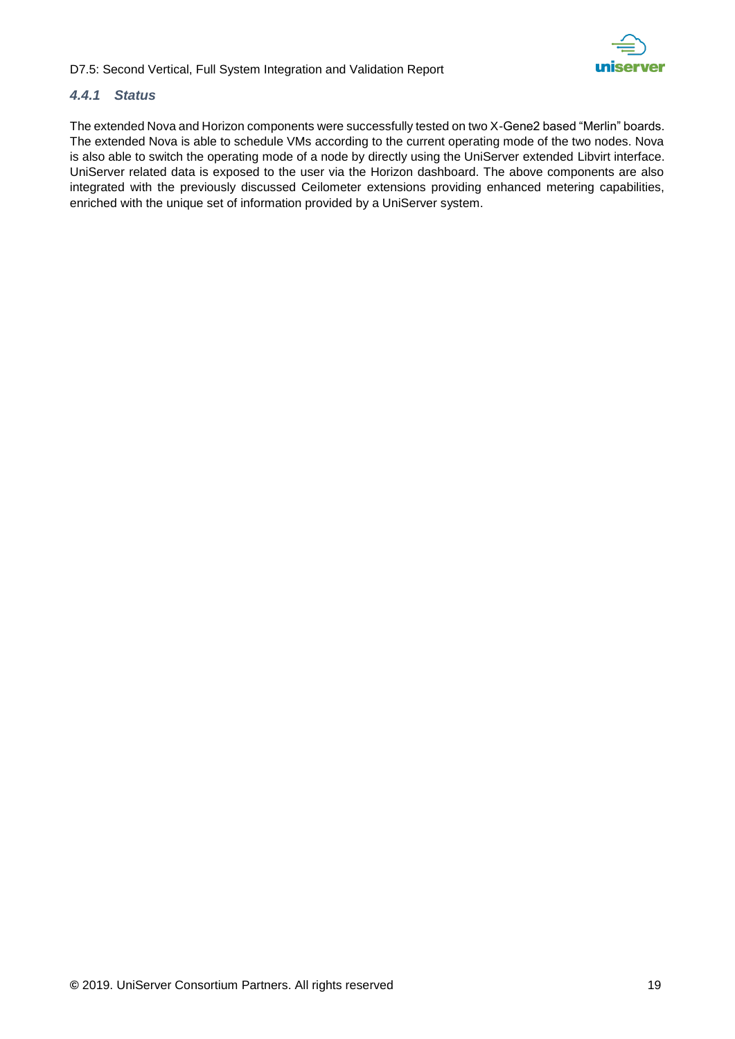

### <span id="page-18-0"></span>*4.4.1 Status*

The extended Nova and Horizon components were successfully tested on two X-Gene2 based "Merlin" boards. The extended Nova is able to schedule VMs according to the current operating mode of the two nodes. Nova is also able to switch the operating mode of a node by directly using the UniServer extended Libvirt interface. UniServer related data is exposed to the user via the Horizon dashboard. The above components are also integrated with the previously discussed Ceilometer extensions providing enhanced metering capabilities, enriched with the unique set of information provided by a UniServer system.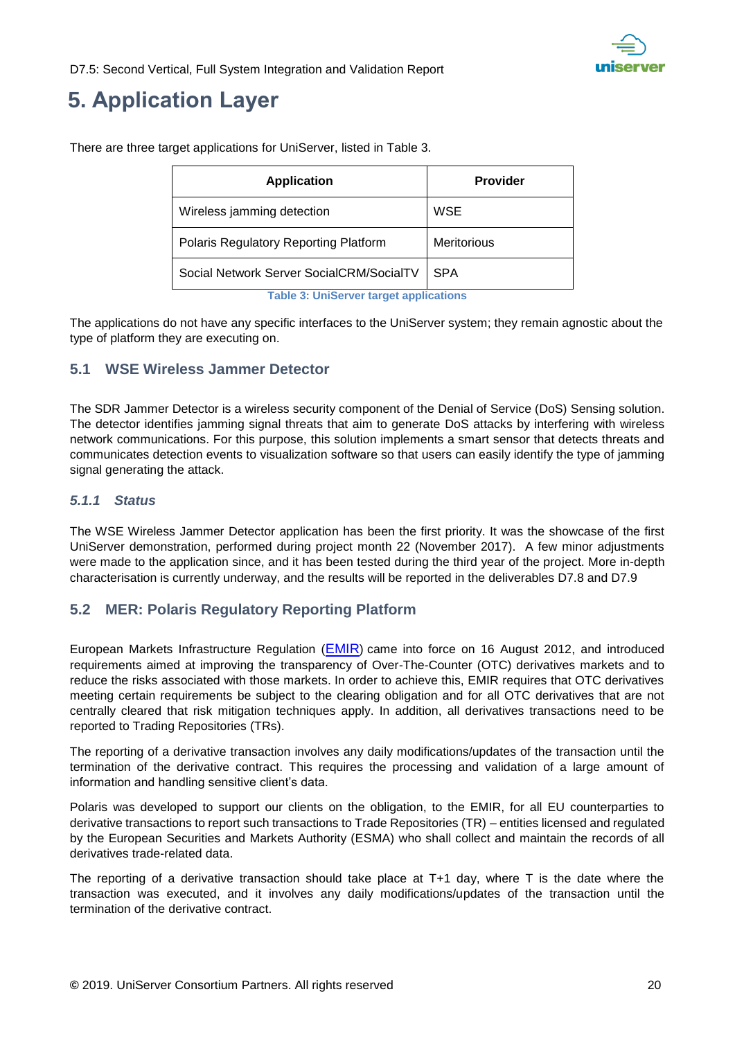

## <span id="page-19-0"></span>**5. Application Layer**

| <b>Application</b>                       | <b>Provider</b>    |
|------------------------------------------|--------------------|
| Wireless jamming detection               | WSE                |
| Polaris Regulatory Reporting Platform    | <b>Meritorious</b> |
| Social Network Server SocialCRM/SocialTV | <b>SPA</b>         |

There are three target applications for UniServer, listed in [Table 3.](#page-19-4)

<span id="page-19-4"></span>The applications do not have any specific interfaces to the UniServer system; they remain agnostic about the type of platform they are executing on.

### <span id="page-19-1"></span>**5.1 WSE Wireless Jammer Detector**

The SDR Jammer Detector is a wireless security component of the Denial of Service (DoS) Sensing solution. The detector identifies jamming signal threats that aim to generate DoS attacks by interfering with wireless network communications. For this purpose, this solution implements a smart sensor that detects threats and communicates detection events to visualization software so that users can easily identify the type of jamming signal generating the attack.

### <span id="page-19-2"></span>*5.1.1 Status*

The WSE Wireless Jammer Detector application has been the first priority. It was the showcase of the first UniServer demonstration, performed during project month 22 (November 2017). A few minor adjustments were made to the application since, and it has been tested during the third year of the project. More in-depth characterisation is currently underway, and the results will be reported in the deliverables D7.8 and D7.9

### <span id="page-19-3"></span>**5.2 MER: Polaris Regulatory Reporting Platform**

European Markets Infrastructure Regulation ([EMIR](http://eur-lex.europa.eu/LexUriServ/LexUriServ.do?uri=CELEX:32012R0648:EN:NOT)) came into force on 16 August 2012, and introduced requirements aimed at improving the transparency of Over-The-Counter (OTC) derivatives markets and to reduce the risks associated with those markets. In order to achieve this, EMIR requires that OTC derivatives meeting certain requirements be subject to the clearing obligation and for all OTC derivatives that are not centrally cleared that risk mitigation techniques apply. In addition, all derivatives transactions need to be reported to Trading Repositories (TRs).

The reporting of a derivative transaction involves any daily modifications/updates of the transaction until the termination of the derivative contract. This requires the processing and validation of a large amount of information and handling sensitive client's data.

Polaris was developed to support our clients on the obligation, to the EMIR, for all EU counterparties to derivative transactions to report such transactions to Trade Repositories (TR) – entities licensed and regulated by the European Securities and Markets Authority (ESMA) who shall collect and maintain the records of all derivatives trade-related data.

The reporting of a derivative transaction should take place at T+1 day, where T is the date where the transaction was executed, and it involves any daily modifications/updates of the transaction until the termination of the derivative contract.

**Table 3: UniServer target applications**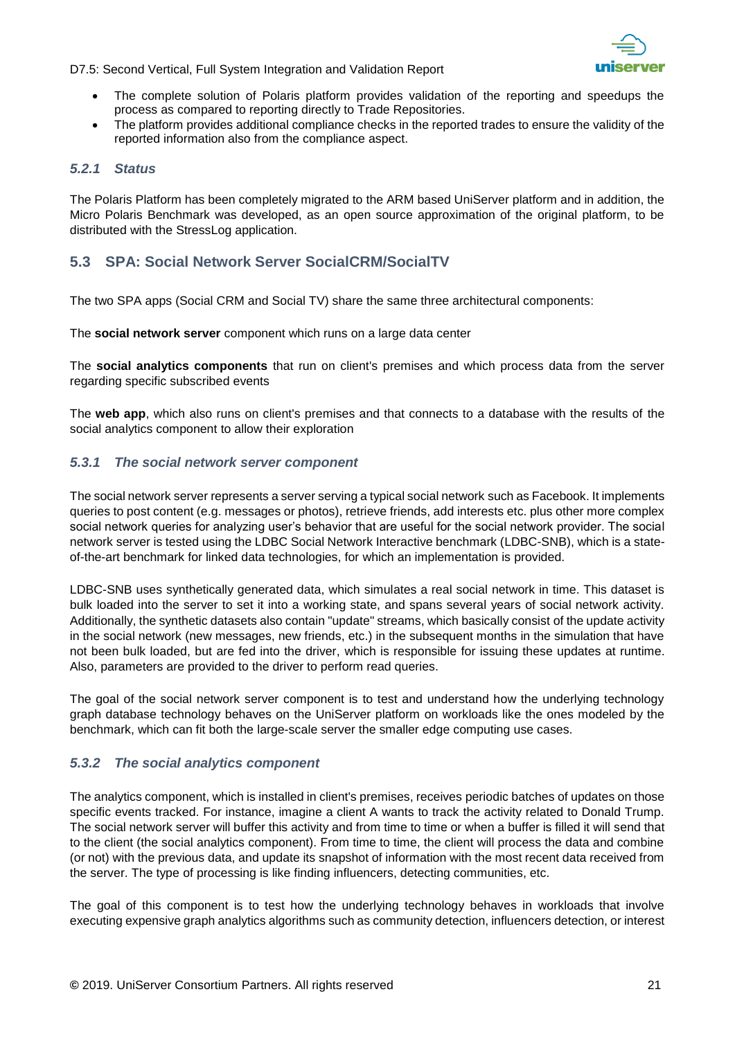

- The complete solution of Polaris platform provides validation of the reporting and speedups the process as compared to reporting directly to Trade Repositories.
- The platform provides additional compliance checks in the reported trades to ensure the validity of the reported information also from the compliance aspect.

#### <span id="page-20-0"></span>*5.2.1 Status*

The Polaris Platform has been completely migrated to the ARM based UniServer platform and in addition, the Micro Polaris Benchmark was developed, as an open source approximation of the original platform, to be distributed with the StressLog application.

### <span id="page-20-1"></span>**5.3 SPA: Social Network Server SocialCRM/SocialTV**

The two SPA apps (Social CRM and Social TV) share the same three architectural components:

The **social network server** component which runs on a large data center

The **social analytics components** that run on client's premises and which process data from the server regarding specific subscribed events

The **web app**, which also runs on client's premises and that connects to a database with the results of the social analytics component to allow their exploration

#### <span id="page-20-2"></span>*5.3.1 The social network server component*

The social network server represents a server serving a typical social network such as Facebook. It implements queries to post content (e.g. messages or photos), retrieve friends, add interests etc. plus other more complex social network queries for analyzing user's behavior that are useful for the social network provider. The social network server is tested using the LDBC Social Network Interactive benchmark (LDBC-SNB), which is a stateof-the-art benchmark for linked data technologies, for which an implementation is provided.

LDBC-SNB uses synthetically generated data, which simulates a real social network in time. This dataset is bulk loaded into the server to set it into a working state, and spans several years of social network activity. Additionally, the synthetic datasets also contain "update" streams, which basically consist of the update activity in the social network (new messages, new friends, etc.) in the subsequent months in the simulation that have not been bulk loaded, but are fed into the driver, which is responsible for issuing these updates at runtime. Also, parameters are provided to the driver to perform read queries.

The goal of the social network server component is to test and understand how the underlying technology graph database technology behaves on the UniServer platform on workloads like the ones modeled by the benchmark, which can fit both the large-scale server the smaller edge computing use cases.

#### <span id="page-20-3"></span>*5.3.2 The social analytics component*

The analytics component, which is installed in client's premises, receives periodic batches of updates on those specific events tracked. For instance, imagine a client A wants to track the activity related to Donald Trump. The social network server will buffer this activity and from time to time or when a buffer is filled it will send that to the client (the social analytics component). From time to time, the client will process the data and combine (or not) with the previous data, and update its snapshot of information with the most recent data received from the server. The type of processing is like finding influencers, detecting communities, etc.

The goal of this component is to test how the underlying technology behaves in workloads that involve executing expensive graph analytics algorithms such as community detection, influencers detection, or interest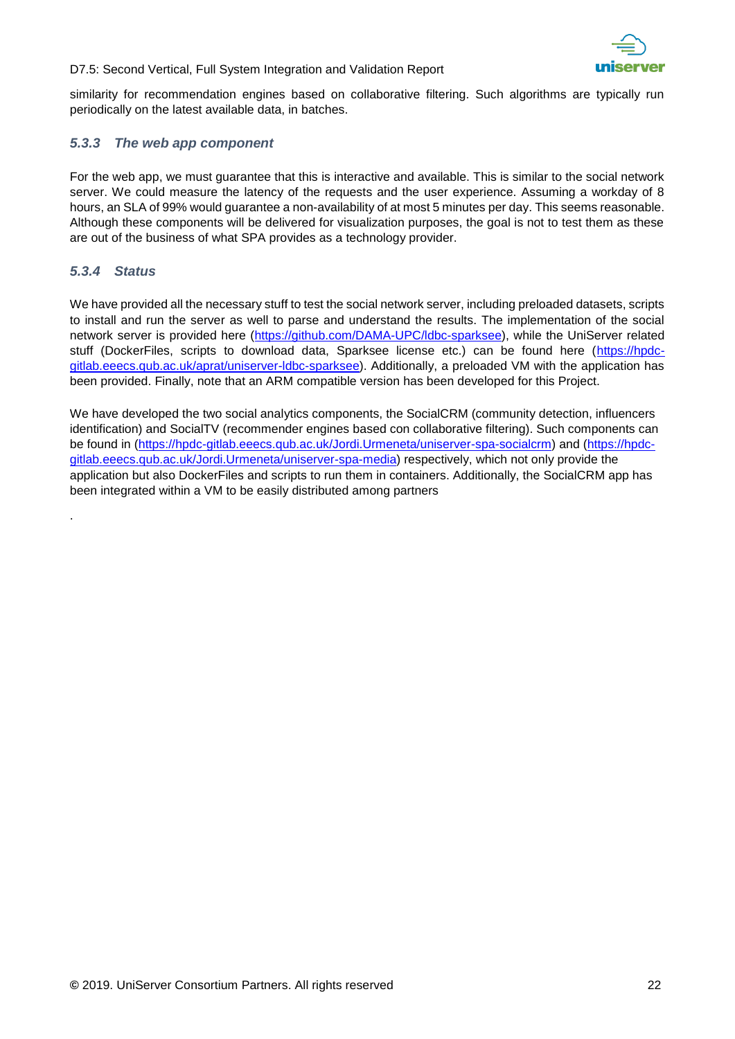

similarity for recommendation engines based on collaborative filtering. Such algorithms are typically run periodically on the latest available data, in batches.

### <span id="page-21-0"></span>*5.3.3 The web app component*

For the web app, we must guarantee that this is interactive and available. This is similar to the social network server. We could measure the latency of the requests and the user experience. Assuming a workday of 8 hours, an SLA of 99% would guarantee a non-availability of at most 5 minutes per day. This seems reasonable. Although these components will be delivered for visualization purposes, the goal is not to test them as these are out of the business of what SPA provides as a technology provider.

### <span id="page-21-1"></span>*5.3.4 Status*

.

We have provided all the necessary stuff to test the social network server, including preloaded datasets, scripts to install and run the server as well to parse and understand the results. The implementation of the social network server is provided here [\(https://github.com/DAMA-UPC/ldbc-sparksee\)](https://github.com/DAMA-UPC/ldbc-sparksee), while the UniServer related stuff (DockerFiles, scripts to download data, Sparksee license etc.) can be found here [\(https://hpdc](https://hpdc-gitlab.eeecs.qub.ac.uk/aprat/uniserver-ldbc-sparksee)[gitlab.eeecs.qub.ac.uk/aprat/uniserver-ldbc-sparksee\)](https://hpdc-gitlab.eeecs.qub.ac.uk/aprat/uniserver-ldbc-sparksee). Additionally, a preloaded VM with the application has been provided. Finally, note that an ARM compatible version has been developed for this Project.

We have developed the two social analytics components, the SocialCRM (community detection, influencers identification) and SocialTV (recommender engines based con collaborative filtering). Such components can be found in [\(https://hpdc-gitlab.eeecs.qub.ac.uk/Jordi.Urmeneta/uniserver-spa-socialcrm\)](https://hpdc-gitlab.eeecs.qub.ac.uk/Jordi.Urmeneta/uniserver-spa-socialcrm) and [\(https://hpdc](https://hpdc-gitlab.eeecs.qub.ac.uk/Jordi.Urmeneta/uniserver-spa-media)[gitlab.eeecs.qub.ac.uk/Jordi.Urmeneta/uniserver-spa-media\)](https://hpdc-gitlab.eeecs.qub.ac.uk/Jordi.Urmeneta/uniserver-spa-media) respectively, which not only provide the application but also DockerFiles and scripts to run them in containers. Additionally, the SocialCRM app has been integrated within a VM to be easily distributed among partners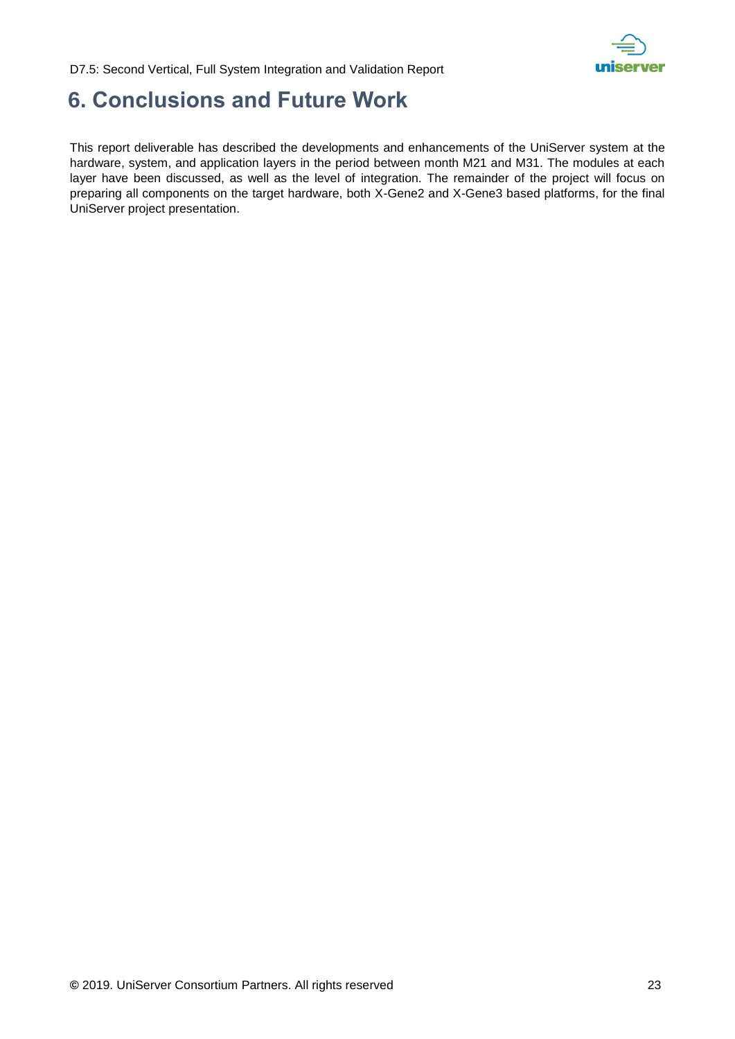

## <span id="page-22-0"></span>**6. Conclusions and Future Work**

This report deliverable has described the developments and enhancements of the UniServer system at the hardware, system, and application layers in the period between month M21 and M31. The modules at each layer have been discussed, as well as the level of integration. The remainder of the project will focus on preparing all components on the target hardware, both X-Gene2 and X-Gene3 based platforms, for the final UniServer project presentation.